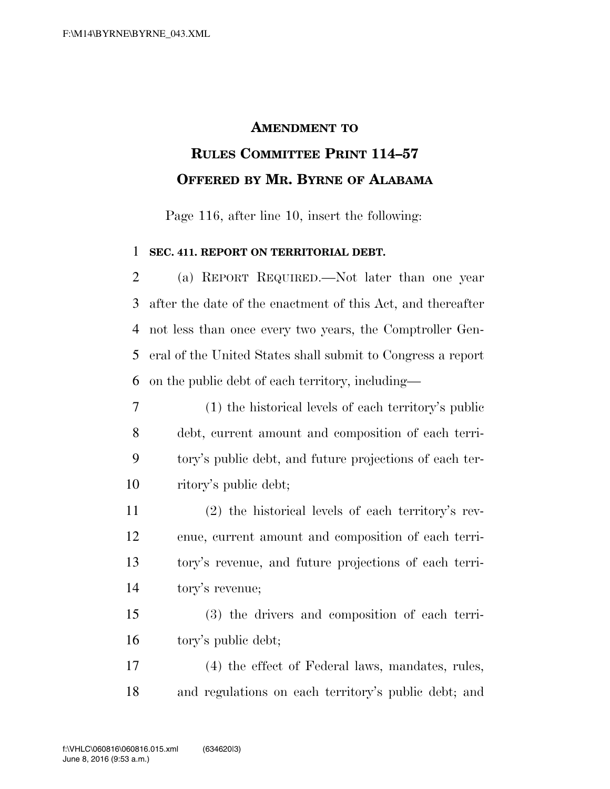## **AMENDMENT TO RULES COMMITTEE PRINT 114–57 OFFERED BY MR. BYRNE OF ALABAMA**

Page 116, after line 10, insert the following:

## **SEC. 411. REPORT ON TERRITORIAL DEBT.**

 (a) REPORT REQUIRED.—Not later than one year after the date of the enactment of this Act, and thereafter not less than once every two years, the Comptroller Gen- eral of the United States shall submit to Congress a report on the public debt of each territory, including—

 (1) the historical levels of each territory's public debt, current amount and composition of each terri- tory's public debt, and future projections of each ter-ritory's public debt;

 (2) the historical levels of each territory's rev- enue, current amount and composition of each terri- tory's revenue, and future projections of each terri-tory's revenue;

 (3) the drivers and composition of each terri-tory's public debt;

 (4) the effect of Federal laws, mandates, rules, and regulations on each territory's public debt; and